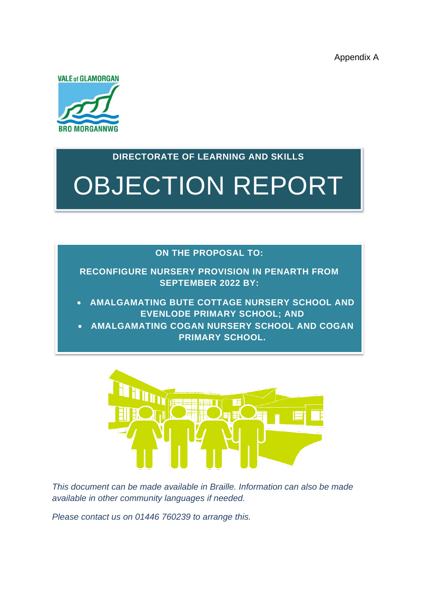Appendix A



# **DIRECTORATE OF LEARNING AND SKILLS**

OBJECTION REPORT

#### **ON THE PROPOSAL TO:**

**RECONFIGURE NURSERY PROVISION IN PENARTH FROM SEPTEMBER 2022 BY:**

• **AMALGAMATING BUTE COTTAGE NURSERY SCHOOL AND EVENLODE PRIMARY SCHOOL; AND**

• **AMALGAMATING COGAN NURSERY SCHOOL AND COGAN PRIMARY SCHOOL.**



*This document can be made available in Braille. Information can also be made available in other community languages if needed.* 

*Please contact us on 01446 760239 to arrange this.*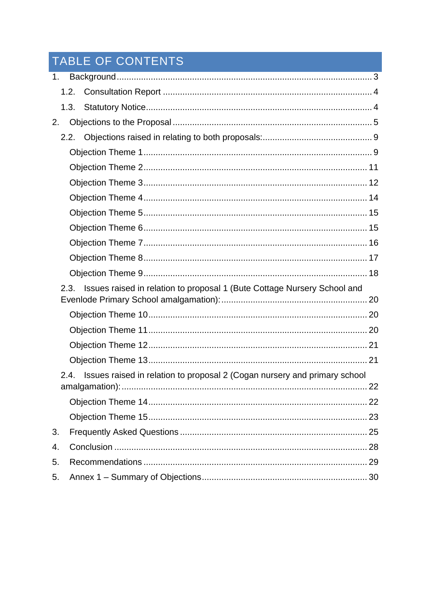# TABLE OF CONTENTS

| 1.                                                                               |      |                                                                           |  |  |  |
|----------------------------------------------------------------------------------|------|---------------------------------------------------------------------------|--|--|--|
|                                                                                  |      | 1.2.                                                                      |  |  |  |
|                                                                                  |      | 1.3.                                                                      |  |  |  |
| 2.                                                                               |      |                                                                           |  |  |  |
|                                                                                  |      |                                                                           |  |  |  |
|                                                                                  |      |                                                                           |  |  |  |
|                                                                                  |      |                                                                           |  |  |  |
|                                                                                  |      |                                                                           |  |  |  |
|                                                                                  |      |                                                                           |  |  |  |
|                                                                                  |      |                                                                           |  |  |  |
|                                                                                  |      |                                                                           |  |  |  |
|                                                                                  |      |                                                                           |  |  |  |
|                                                                                  |      |                                                                           |  |  |  |
|                                                                                  |      |                                                                           |  |  |  |
| Issues raised in relation to proposal 1 (Bute Cottage Nursery School and<br>2.3. |      |                                                                           |  |  |  |
|                                                                                  |      |                                                                           |  |  |  |
|                                                                                  |      |                                                                           |  |  |  |
|                                                                                  |      |                                                                           |  |  |  |
|                                                                                  |      |                                                                           |  |  |  |
|                                                                                  |      |                                                                           |  |  |  |
|                                                                                  | 2.4. | Issues raised in relation to proposal 2 (Cogan nursery and primary school |  |  |  |
|                                                                                  |      |                                                                           |  |  |  |
|                                                                                  |      |                                                                           |  |  |  |
| 3.                                                                               |      |                                                                           |  |  |  |
| 4.                                                                               |      |                                                                           |  |  |  |
| 5.                                                                               |      |                                                                           |  |  |  |
| 5.                                                                               |      |                                                                           |  |  |  |
|                                                                                  |      |                                                                           |  |  |  |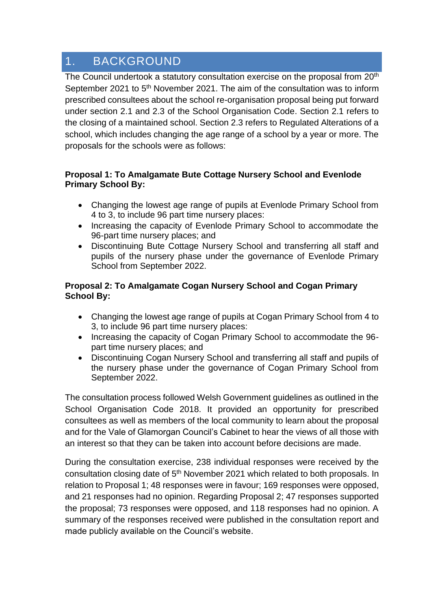# <span id="page-2-0"></span>1. BACKGROUND

The Council undertook a statutory consultation exercise on the proposal from 20<sup>th</sup> September 2021 to 5<sup>th</sup> November 2021. The aim of the consultation was to inform prescribed consultees about the school re-organisation proposal being put forward under section 2.1 and 2.3 of the School Organisation Code. Section 2.1 refers to the closing of a maintained school. Section 2.3 refers to Regulated Alterations of a school, which includes changing the age range of a school by a year or more. The proposals for the schools were as follows:

#### **Proposal 1: To Amalgamate Bute Cottage Nursery School and Evenlode Primary School By:**

- Changing the lowest age range of pupils at Evenlode Primary School from 4 to 3, to include 96 part time nursery places:
- Increasing the capacity of Evenlode Primary School to accommodate the 96-part time nursery places; and
- Discontinuing Bute Cottage Nursery School and transferring all staff and pupils of the nursery phase under the governance of Evenlode Primary School from September 2022.

#### **Proposal 2: To Amalgamate Cogan Nursery School and Cogan Primary School By:**

- Changing the lowest age range of pupils at Cogan Primary School from 4 to 3, to include 96 part time nursery places:
- Increasing the capacity of Cogan Primary School to accommodate the 96 part time nursery places; and
- Discontinuing Cogan Nursery School and transferring all staff and pupils of the nursery phase under the governance of Cogan Primary School from September 2022.

The consultation process followed Welsh Government guidelines as outlined in the School Organisation Code 2018. It provided an opportunity for prescribed consultees as well as members of the local community to learn about the proposal and for the Vale of Glamorgan Council's Cabinet to hear the views of all those with an interest so that they can be taken into account before decisions are made.

During the consultation exercise, 238 individual responses were received by the consultation closing date of 5<sup>th</sup> November 2021 which related to both proposals. In relation to Proposal 1; 48 responses were in favour; 169 responses were opposed, and 21 responses had no opinion. Regarding Proposal 2; 47 responses supported the proposal; 73 responses were opposed, and 118 responses had no opinion. A summary of the responses received were published in the consultation report and made publicly available on the Council's website.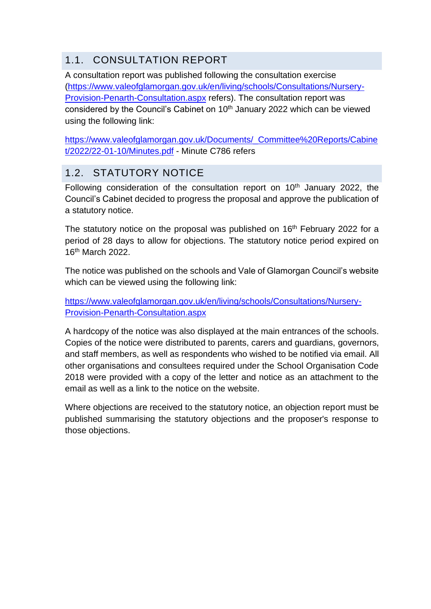# <span id="page-3-0"></span>1.1. CONSULTATION REPORT

A consultation report was published following the consultation exercise [\(https://www.valeofglamorgan.gov.uk/en/living/schools/Consultations/Nursery-](https://www.valeofglamorgan.gov.uk/en/living/schools/Consultations/Nursery-Provision-Penarth-Consultation.aspx)[Provision-Penarth-Consultation.aspx](https://www.valeofglamorgan.gov.uk/en/living/schools/Consultations/Nursery-Provision-Penarth-Consultation.aspx) refers). The consultation report was considered by the Council's Cabinet on 10<sup>th</sup> January 2022 which can be viewed using the following link:

[https://www.valeofglamorgan.gov.uk/Documents/\\_Committee%20Reports/Cabine](https://www.valeofglamorgan.gov.uk/Documents/_Committee%20Reports/Cabinet/2022/22-01-10/Minutes.pdf) [t/2022/22-01-10/Minutes.pdf](https://www.valeofglamorgan.gov.uk/Documents/_Committee%20Reports/Cabinet/2022/22-01-10/Minutes.pdf) - Minute C786 refers

# <span id="page-3-1"></span>1.2. STATUTORY NOTICE

Following consideration of the consultation report on  $10<sup>th</sup>$  January 2022, the Council's Cabinet decided to progress the proposal and approve the publication of a statutory notice.

The statutory notice on the proposal was published on 16<sup>th</sup> February 2022 for a period of 28 days to allow for objections. The statutory notice period expired on 16th March 2022.

The notice was published on the schools and Vale of Glamorgan Council's website which can be viewed using the following link:

[https://www.valeofglamorgan.gov.uk/en/living/schools/Consultations/Nursery-](https://www.valeofglamorgan.gov.uk/en/living/schools/Consultations/Nursery-Provision-Penarth-Consultation.aspx)[Provision-Penarth-Consultation.aspx](https://www.valeofglamorgan.gov.uk/en/living/schools/Consultations/Nursery-Provision-Penarth-Consultation.aspx)

A hardcopy of the notice was also displayed at the main entrances of the schools. Copies of the notice were distributed to parents, carers and guardians, governors, and staff members, as well as respondents who wished to be notified via email. All other organisations and consultees required under the School Organisation Code 2018 were provided with a copy of the letter and notice as an attachment to the email as well as a link to the notice on the website.

Where objections are received to the statutory notice, an objection report must be published summarising the statutory objections and the proposer's response to those objections.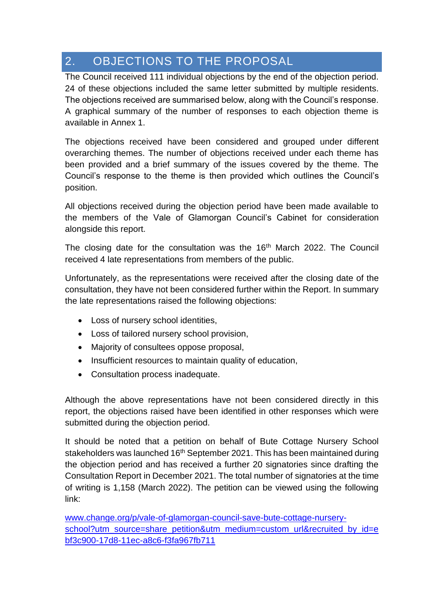# <span id="page-4-0"></span>2. OBJECTIONS TO THE PROPOSAL

The Council received 111 individual objections by the end of the objection period. 24 of these objections included the same letter submitted by multiple residents. The objections received are summarised below, along with the Council's response. A graphical summary of the number of responses to each objection theme is available in Annex 1.

The objections received have been considered and grouped under different overarching themes. The number of objections received under each theme has been provided and a brief summary of the issues covered by the theme. The Council's response to the theme is then provided which outlines the Council's position.

All objections received during the objection period have been made available to the members of the Vale of Glamorgan Council's Cabinet for consideration alongside this report.

The closing date for the consultation was the 16<sup>th</sup> March 2022. The Council received 4 late representations from members of the public.

Unfortunately, as the representations were received after the closing date of the consultation, they have not been considered further within the Report. In summary the late representations raised the following objections:

- Loss of nursery school identities,
- Loss of tailored nursery school provision,
- Majority of consultees oppose proposal,
- Insufficient resources to maintain quality of education,
- Consultation process inadequate.

Although the above representations have not been considered directly in this report, the objections raised have been identified in other responses which were submitted during the objection period.

It should be noted that a petition on behalf of Bute Cottage Nursery School stakeholders was launched 16<sup>th</sup> September 2021. This has been maintained during the objection period and has received a further 20 signatories since drafting the Consultation Report in December 2021. The total number of signatories at the time of writing is 1,158 (March 2022). The petition can be viewed using the following link:

[www.change.org/p/vale-of-glamorgan-council-save-bute-cottage-nursery](http://www.change.org/p/vale-of-glamorgan-council-save-bute-cottage-nursery-school?utm_source=share_petition&utm_medium=custom_url&recruited_by_id=ebf3c900-17d8-11ec-a8c6-f3fa967fb711)[school?utm\\_source=share\\_petition&utm\\_medium=custom\\_url&recruited\\_by\\_id=e](http://www.change.org/p/vale-of-glamorgan-council-save-bute-cottage-nursery-school?utm_source=share_petition&utm_medium=custom_url&recruited_by_id=ebf3c900-17d8-11ec-a8c6-f3fa967fb711) [bf3c900-17d8-11ec-a8c6-f3fa967fb711](http://www.change.org/p/vale-of-glamorgan-council-save-bute-cottage-nursery-school?utm_source=share_petition&utm_medium=custom_url&recruited_by_id=ebf3c900-17d8-11ec-a8c6-f3fa967fb711)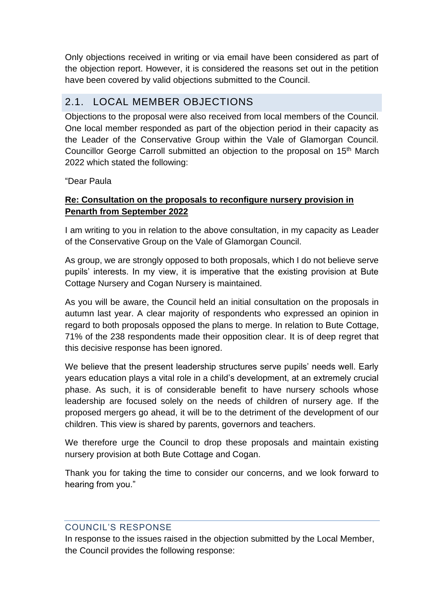Only objections received in writing or via email have been considered as part of the objection report. However, it is considered the reasons set out in the petition have been covered by valid objections submitted to the Council.

# 2.1. LOCAL MEMBER OBJECTIONS

Objections to the proposal were also received from local members of the Council. One local member responded as part of the objection period in their capacity as the Leader of the Conservative Group within the Vale of Glamorgan Council. Councillor George Carroll submitted an objection to the proposal on 15th March 2022 which stated the following:

"Dear Paula

# **Re: Consultation on the proposals to reconfigure nursery provision in Penarth from September 2022**

I am writing to you in relation to the above consultation, in my capacity as Leader of the Conservative Group on the Vale of Glamorgan Council.

As group, we are strongly opposed to both proposals, which I do not believe serve pupils' interests. In my view, it is imperative that the existing provision at Bute Cottage Nursery and Cogan Nursery is maintained.

As you will be aware, the Council held an initial consultation on the proposals in autumn last year. A clear majority of respondents who expressed an opinion in regard to both proposals opposed the plans to merge. In relation to Bute Cottage, 71% of the 238 respondents made their opposition clear. It is of deep regret that this decisive response has been ignored.

We believe that the present leadership structures serve pupils' needs well. Early years education plays a vital role in a child's development, at an extremely crucial phase. As such, it is of considerable benefit to have nursery schools whose leadership are focused solely on the needs of children of nursery age. If the proposed mergers go ahead, it will be to the detriment of the development of our children. This view is shared by parents, governors and teachers.

We therefore urge the Council to drop these proposals and maintain existing nursery provision at both Bute Cottage and Cogan.

Thank you for taking the time to consider our concerns, and we look forward to hearing from you."

#### COUNCIL'S RESPONSE

In response to the issues raised in the objection submitted by the Local Member, the Council provides the following response: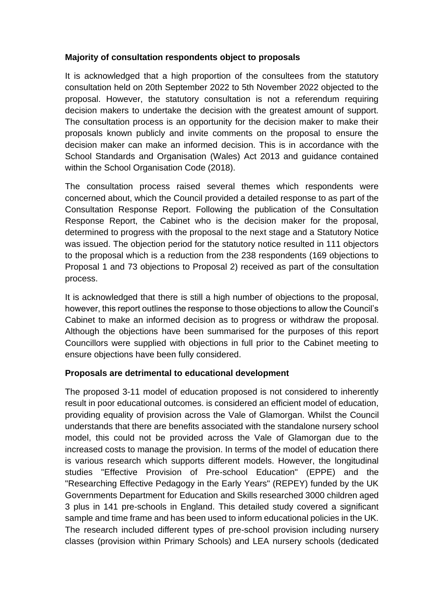#### **Majority of consultation respondents object to proposals**

It is acknowledged that a high proportion of the consultees from the statutory consultation held on 20th September 2022 to 5th November 2022 objected to the proposal. However, the statutory consultation is not a referendum requiring decision makers to undertake the decision with the greatest amount of support. The consultation process is an opportunity for the decision maker to make their proposals known publicly and invite comments on the proposal to ensure the decision maker can make an informed decision. This is in accordance with the School Standards and Organisation (Wales) Act 2013 and guidance contained within the School Organisation Code (2018).

The consultation process raised several themes which respondents were concerned about, which the Council provided a detailed response to as part of the Consultation Response Report. Following the publication of the Consultation Response Report, the Cabinet who is the decision maker for the proposal, determined to progress with the proposal to the next stage and a Statutory Notice was issued. The objection period for the statutory notice resulted in 111 objectors to the proposal which is a reduction from the 238 respondents (169 objections to Proposal 1 and 73 objections to Proposal 2) received as part of the consultation process.

It is acknowledged that there is still a high number of objections to the proposal, however, this report outlines the response to those objections to allow the Council's Cabinet to make an informed decision as to progress or withdraw the proposal. Although the objections have been summarised for the purposes of this report Councillors were supplied with objections in full prior to the Cabinet meeting to ensure objections have been fully considered.

#### **Proposals are detrimental to educational development**

The proposed 3-11 model of education proposed is not considered to inherently result in poor educational outcomes. is considered an efficient model of education, providing equality of provision across the Vale of Glamorgan. Whilst the Council understands that there are benefits associated with the standalone nursery school model, this could not be provided across the Vale of Glamorgan due to the increased costs to manage the provision. In terms of the model of education there is various research which supports different models. However, the longitudinal studies "Effective Provision of Pre-school Education" (EPPE) and the "Researching Effective Pedagogy in the Early Years" (REPEY) funded by the UK Governments Department for Education and Skills researched 3000 children aged 3 plus in 141 pre-schools in England. This detailed study covered a significant sample and time frame and has been used to inform educational policies in the UK. The research included different types of pre-school provision including nursery classes (provision within Primary Schools) and LEA nursery schools (dedicated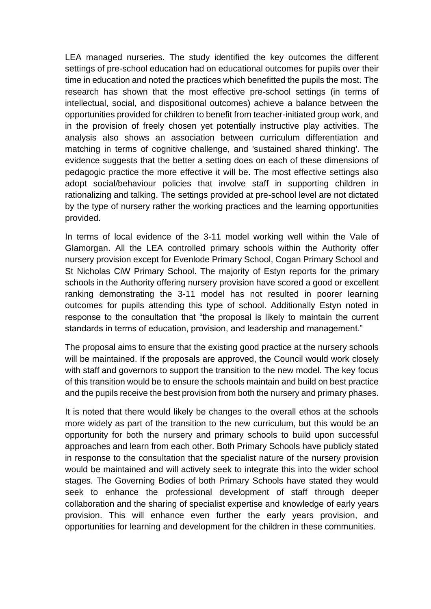LEA managed nurseries. The study identified the key outcomes the different settings of pre-school education had on educational outcomes for pupils over their time in education and noted the practices which benefitted the pupils the most. The research has shown that the most effective pre-school settings (in terms of intellectual, social, and dispositional outcomes) achieve a balance between the opportunities provided for children to benefit from teacher-initiated group work, and in the provision of freely chosen yet potentially instructive play activities. The analysis also shows an association between curriculum differentiation and matching in terms of cognitive challenge, and 'sustained shared thinking'. The evidence suggests that the better a setting does on each of these dimensions of pedagogic practice the more effective it will be. The most effective settings also adopt social/behaviour policies that involve staff in supporting children in rationalizing and talking. The settings provided at pre-school level are not dictated by the type of nursery rather the working practices and the learning opportunities provided.

In terms of local evidence of the 3-11 model working well within the Vale of Glamorgan. All the LEA controlled primary schools within the Authority offer nursery provision except for Evenlode Primary School, Cogan Primary School and St Nicholas CiW Primary School. The majority of Estyn reports for the primary schools in the Authority offering nursery provision have scored a good or excellent ranking demonstrating the 3-11 model has not resulted in poorer learning outcomes for pupils attending this type of school. Additionally Estyn noted in response to the consultation that "the proposal is likely to maintain the current standards in terms of education, provision, and leadership and management."

The proposal aims to ensure that the existing good practice at the nursery schools will be maintained. If the proposals are approved, the Council would work closely with staff and governors to support the transition to the new model. The key focus of this transition would be to ensure the schools maintain and build on best practice and the pupils receive the best provision from both the nursery and primary phases.

It is noted that there would likely be changes to the overall ethos at the schools more widely as part of the transition to the new curriculum, but this would be an opportunity for both the nursery and primary schools to build upon successful approaches and learn from each other. Both Primary Schools have publicly stated in response to the consultation that the specialist nature of the nursery provision would be maintained and will actively seek to integrate this into the wider school stages. The Governing Bodies of both Primary Schools have stated they would seek to enhance the professional development of staff through deeper collaboration and the sharing of specialist expertise and knowledge of early years provision. This will enhance even further the early years provision, and opportunities for learning and development for the children in these communities.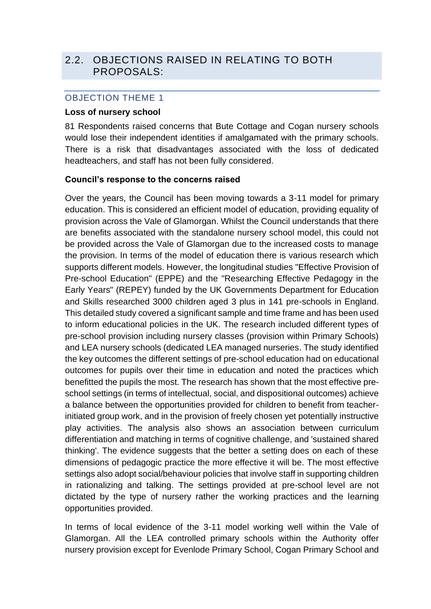# <span id="page-8-0"></span>2.2. OBJECTIONS RAISED IN RELATING TO BOTH PROPOSALS:

#### <span id="page-8-1"></span>OBJECTION THEME 1

#### **Loss of nursery school**

81 Respondents raised concerns that Bute Cottage and Cogan nursery schools would lose their independent identities if amalgamated with the primary schools. There is a risk that disadvantages associated with the loss of dedicated headteachers, and staff has not been fully considered.

#### **Council's response to the concerns raised**

Over the years, the Council has been moving towards a 3-11 model for primary education. This is considered an efficient model of education, providing equality of provision across the Vale of Glamorgan. Whilst the Council understands that there are benefits associated with the standalone nursery school model, this could not be provided across the Vale of Glamorgan due to the increased costs to manage the provision. In terms of the model of education there is various research which supports different models. However, the longitudinal studies "Effective Provision of Pre-school Education" (EPPE) and the "Researching Effective Pedagogy in the Early Years" (REPEY) funded by the UK Governments Department for Education and Skills researched 3000 children aged 3 plus in 141 pre-schools in England. This detailed study covered a significant sample and time frame and has been used to inform educational policies in the UK. The research included different types of pre-school provision including nursery classes (provision within Primary Schools) and LEA nursery schools (dedicated LEA managed nurseries. The study identified the key outcomes the different settings of pre-school education had on educational outcomes for pupils over their time in education and noted the practices which benefitted the pupils the most. The research has shown that the most effective preschool settings (in terms of intellectual, social, and dispositional outcomes) achieve a balance between the opportunities provided for children to benefit from teacherinitiated group work, and in the provision of freely chosen yet potentially instructive play activities. The analysis also shows an association between curriculum differentiation and matching in terms of cognitive challenge, and 'sustained shared thinking'. The evidence suggests that the better a setting does on each of these dimensions of pedagogic practice the more effective it will be. The most effective settings also adopt social/behaviour policies that involve staff in supporting children in rationalizing and talking. The settings provided at pre-school level are not dictated by the type of nursery rather the working practices and the learning opportunities provided.

In terms of local evidence of the 3-11 model working well within the Vale of Glamorgan. All the LEA controlled primary schools within the Authority offer nursery provision except for Evenlode Primary School, Cogan Primary School and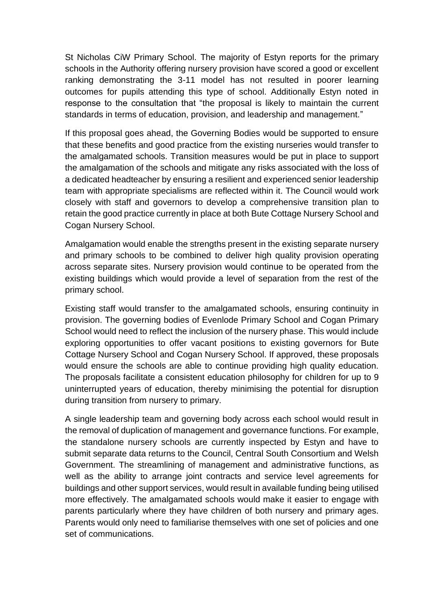St Nicholas CiW Primary School. The majority of Estyn reports for the primary schools in the Authority offering nursery provision have scored a good or excellent ranking demonstrating the 3-11 model has not resulted in poorer learning outcomes for pupils attending this type of school. Additionally Estyn noted in response to the consultation that "the proposal is likely to maintain the current standards in terms of education, provision, and leadership and management."

If this proposal goes ahead, the Governing Bodies would be supported to ensure that these benefits and good practice from the existing nurseries would transfer to the amalgamated schools. Transition measures would be put in place to support the amalgamation of the schools and mitigate any risks associated with the loss of a dedicated headteacher by ensuring a resilient and experienced senior leadership team with appropriate specialisms are reflected within it. The Council would work closely with staff and governors to develop a comprehensive transition plan to retain the good practice currently in place at both Bute Cottage Nursery School and Cogan Nursery School.

Amalgamation would enable the strengths present in the existing separate nursery and primary schools to be combined to deliver high quality provision operating across separate sites. Nursery provision would continue to be operated from the existing buildings which would provide a level of separation from the rest of the primary school.

Existing staff would transfer to the amalgamated schools, ensuring continuity in provision. The governing bodies of Evenlode Primary School and Cogan Primary School would need to reflect the inclusion of the nursery phase. This would include exploring opportunities to offer vacant positions to existing governors for Bute Cottage Nursery School and Cogan Nursery School. If approved, these proposals would ensure the schools are able to continue providing high quality education. The proposals facilitate a consistent education philosophy for children for up to 9 uninterrupted years of education, thereby minimising the potential for disruption during transition from nursery to primary.

A single leadership team and governing body across each school would result in the removal of duplication of management and governance functions. For example, the standalone nursery schools are currently inspected by Estyn and have to submit separate data returns to the Council, Central South Consortium and Welsh Government. The streamlining of management and administrative functions, as well as the ability to arrange joint contracts and service level agreements for buildings and other support services, would result in available funding being utilised more effectively. The amalgamated schools would make it easier to engage with parents particularly where they have children of both nursery and primary ages. Parents would only need to familiarise themselves with one set of policies and one set of communications.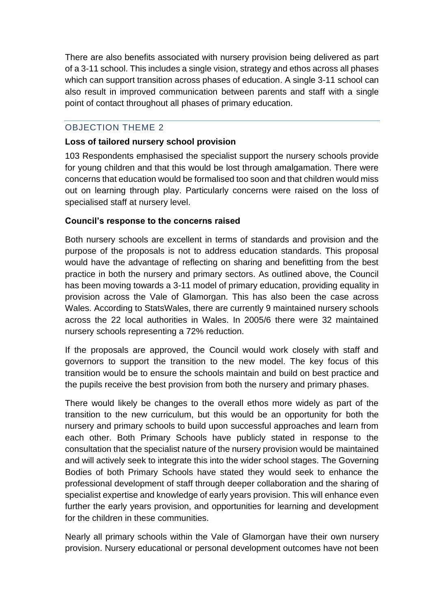There are also benefits associated with nursery provision being delivered as part of a 3-11 school. This includes a single vision, strategy and ethos across all phases which can support transition across phases of education. A single 3-11 school can also result in improved communication between parents and staff with a single point of contact throughout all phases of primary education.

# <span id="page-10-0"></span>OBJECTION THEME 2

#### **Loss of tailored nursery school provision**

103 Respondents emphasised the specialist support the nursery schools provide for young children and that this would be lost through amalgamation. There were concerns that education would be formalised too soon and that children would miss out on learning through play. Particularly concerns were raised on the loss of specialised staff at nursery level.

#### **Council's response to the concerns raised**

Both nursery schools are excellent in terms of standards and provision and the purpose of the proposals is not to address education standards. This proposal would have the advantage of reflecting on sharing and benefitting from the best practice in both the nursery and primary sectors. As outlined above, the Council has been moving towards a 3-11 model of primary education, providing equality in provision across the Vale of Glamorgan. This has also been the case across Wales. According to StatsWales, there are currently 9 maintained nursery schools across the 22 local authorities in Wales. In 2005/6 there were 32 maintained nursery schools representing a 72% reduction.

If the proposals are approved, the Council would work closely with staff and governors to support the transition to the new model. The key focus of this transition would be to ensure the schools maintain and build on best practice and the pupils receive the best provision from both the nursery and primary phases.

There would likely be changes to the overall ethos more widely as part of the transition to the new curriculum, but this would be an opportunity for both the nursery and primary schools to build upon successful approaches and learn from each other. Both Primary Schools have publicly stated in response to the consultation that the specialist nature of the nursery provision would be maintained and will actively seek to integrate this into the wider school stages. The Governing Bodies of both Primary Schools have stated they would seek to enhance the professional development of staff through deeper collaboration and the sharing of specialist expertise and knowledge of early years provision. This will enhance even further the early years provision, and opportunities for learning and development for the children in these communities.

Nearly all primary schools within the Vale of Glamorgan have their own nursery provision. Nursery educational or personal development outcomes have not been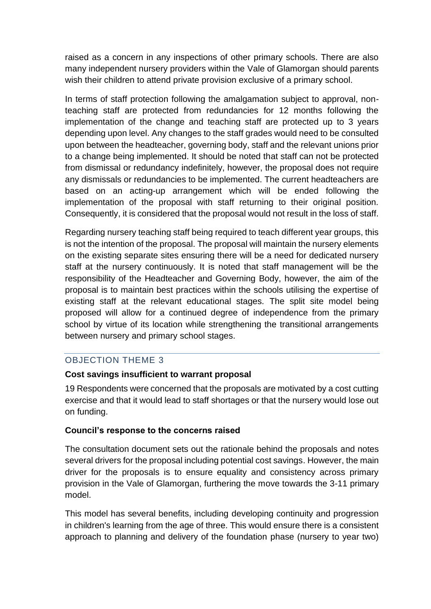raised as a concern in any inspections of other primary schools. There are also many independent nursery providers within the Vale of Glamorgan should parents wish their children to attend private provision exclusive of a primary school.

In terms of staff protection following the amalgamation subject to approval, nonteaching staff are protected from redundancies for 12 months following the implementation of the change and teaching staff are protected up to 3 years depending upon level. Any changes to the staff grades would need to be consulted upon between the headteacher, governing body, staff and the relevant unions prior to a change being implemented. It should be noted that staff can not be protected from dismissal or redundancy indefinitely, however, the proposal does not require any dismissals or redundancies to be implemented. The current headteachers are based on an acting-up arrangement which will be ended following the implementation of the proposal with staff returning to their original position. Consequently, it is considered that the proposal would not result in the loss of staff.

Regarding nursery teaching staff being required to teach different year groups, this is not the intention of the proposal. The proposal will maintain the nursery elements on the existing separate sites ensuring there will be a need for dedicated nursery staff at the nursery continuously. It is noted that staff management will be the responsibility of the Headteacher and Governing Body, however, the aim of the proposal is to maintain best practices within the schools utilising the expertise of existing staff at the relevant educational stages. The split site model being proposed will allow for a continued degree of independence from the primary school by virtue of its location while strengthening the transitional arrangements between nursery and primary school stages.

#### <span id="page-11-0"></span>OBJECTION THEME 3

#### **Cost savings insufficient to warrant proposal**

19 Respondents were concerned that the proposals are motivated by a cost cutting exercise and that it would lead to staff shortages or that the nursery would lose out on funding.

#### **Council's response to the concerns raised**

The consultation document sets out the rationale behind the proposals and notes several drivers for the proposal including potential cost savings. However, the main driver for the proposals is to ensure equality and consistency across primary provision in the Vale of Glamorgan, furthering the move towards the 3-11 primary model.

This model has several benefits, including developing continuity and progression in children's learning from the age of three. This would ensure there is a consistent approach to planning and delivery of the foundation phase (nursery to year two)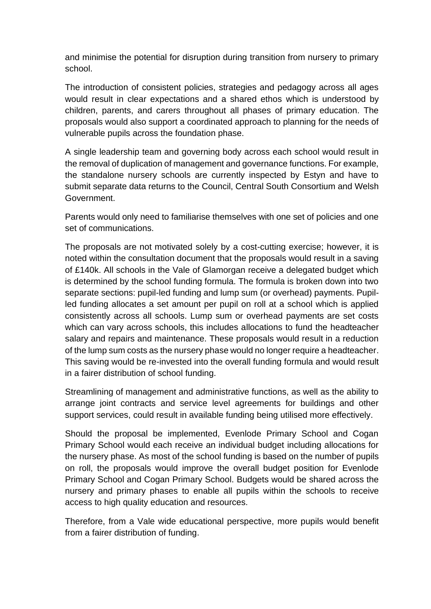and minimise the potential for disruption during transition from nursery to primary school.

The introduction of consistent policies, strategies and pedagogy across all ages would result in clear expectations and a shared ethos which is understood by children, parents, and carers throughout all phases of primary education. The proposals would also support a coordinated approach to planning for the needs of vulnerable pupils across the foundation phase.

A single leadership team and governing body across each school would result in the removal of duplication of management and governance functions. For example, the standalone nursery schools are currently inspected by Estyn and have to submit separate data returns to the Council, Central South Consortium and Welsh Government.

Parents would only need to familiarise themselves with one set of policies and one set of communications.

The proposals are not motivated solely by a cost-cutting exercise; however, it is noted within the consultation document that the proposals would result in a saving of £140k. All schools in the Vale of Glamorgan receive a delegated budget which is determined by the school funding formula. The formula is broken down into two separate sections: pupil-led funding and lump sum (or overhead) payments. Pupilled funding allocates a set amount per pupil on roll at a school which is applied consistently across all schools. Lump sum or overhead payments are set costs which can vary across schools, this includes allocations to fund the headteacher salary and repairs and maintenance. These proposals would result in a reduction of the lump sum costs as the nursery phase would no longer require a headteacher. This saving would be re-invested into the overall funding formula and would result in a fairer distribution of school funding.

Streamlining of management and administrative functions, as well as the ability to arrange joint contracts and service level agreements for buildings and other support services, could result in available funding being utilised more effectively.

Should the proposal be implemented, Evenlode Primary School and Cogan Primary School would each receive an individual budget including allocations for the nursery phase. As most of the school funding is based on the number of pupils on roll, the proposals would improve the overall budget position for Evenlode Primary School and Cogan Primary School. Budgets would be shared across the nursery and primary phases to enable all pupils within the schools to receive access to high quality education and resources.

Therefore, from a Vale wide educational perspective, more pupils would benefit from a fairer distribution of funding.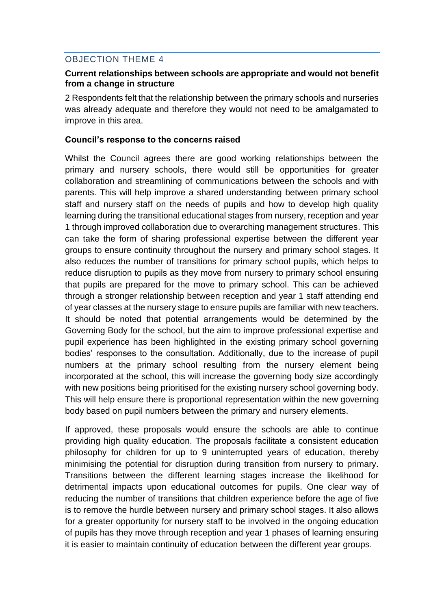# <span id="page-13-0"></span>OBJECTION THEME 4

#### **Current relationships between schools are appropriate and would not benefit from a change in structure**

2 Respondents felt that the relationship between the primary schools and nurseries was already adequate and therefore they would not need to be amalgamated to improve in this area.

#### **Council's response to the concerns raised**

Whilst the Council agrees there are good working relationships between the primary and nursery schools, there would still be opportunities for greater collaboration and streamlining of communications between the schools and with parents. This will help improve a shared understanding between primary school staff and nursery staff on the needs of pupils and how to develop high quality learning during the transitional educational stages from nursery, reception and year 1 through improved collaboration due to overarching management structures. This can take the form of sharing professional expertise between the different year groups to ensure continuity throughout the nursery and primary school stages. It also reduces the number of transitions for primary school pupils, which helps to reduce disruption to pupils as they move from nursery to primary school ensuring that pupils are prepared for the move to primary school. This can be achieved through a stronger relationship between reception and year 1 staff attending end of year classes at the nursery stage to ensure pupils are familiar with new teachers. It should be noted that potential arrangements would be determined by the Governing Body for the school, but the aim to improve professional expertise and pupil experience has been highlighted in the existing primary school governing bodies' responses to the consultation. Additionally, due to the increase of pupil numbers at the primary school resulting from the nursery element being incorporated at the school, this will increase the governing body size accordingly with new positions being prioritised for the existing nursery school governing body. This will help ensure there is proportional representation within the new governing body based on pupil numbers between the primary and nursery elements.

If approved, these proposals would ensure the schools are able to continue providing high quality education. The proposals facilitate a consistent education philosophy for children for up to 9 uninterrupted years of education, thereby minimising the potential for disruption during transition from nursery to primary. Transitions between the different learning stages increase the likelihood for detrimental impacts upon educational outcomes for pupils. One clear way of reducing the number of transitions that children experience before the age of five is to remove the hurdle between nursery and primary school stages. It also allows for a greater opportunity for nursery staff to be involved in the ongoing education of pupils has they move through reception and year 1 phases of learning ensuring it is easier to maintain continuity of education between the different year groups.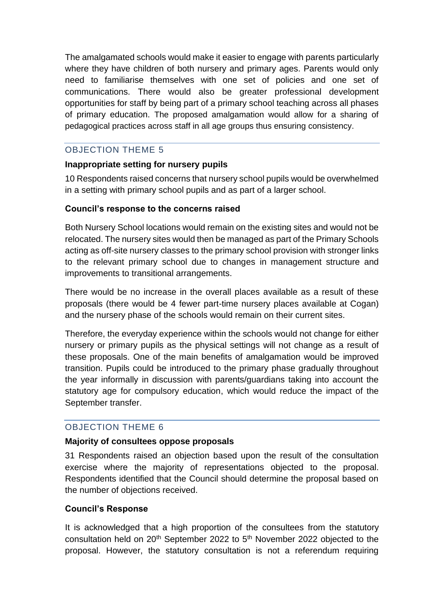The amalgamated schools would make it easier to engage with parents particularly where they have children of both nursery and primary ages. Parents would only need to familiarise themselves with one set of policies and one set of communications. There would also be greater professional development opportunities for staff by being part of a primary school teaching across all phases of primary education. The proposed amalgamation would allow for a sharing of pedagogical practices across staff in all age groups thus ensuring consistency.

#### <span id="page-14-0"></span>OBJECTION THEME 5

#### **Inappropriate setting for nursery pupils**

10 Respondents raised concerns that nursery school pupils would be overwhelmed in a setting with primary school pupils and as part of a larger school.

#### **Council's response to the concerns raised**

Both Nursery School locations would remain on the existing sites and would not be relocated. The nursery sites would then be managed as part of the Primary Schools acting as off-site nursery classes to the primary school provision with stronger links to the relevant primary school due to changes in management structure and improvements to transitional arrangements.

There would be no increase in the overall places available as a result of these proposals (there would be 4 fewer part-time nursery places available at Cogan) and the nursery phase of the schools would remain on their current sites.

Therefore, the everyday experience within the schools would not change for either nursery or primary pupils as the physical settings will not change as a result of these proposals. One of the main benefits of amalgamation would be improved transition. Pupils could be introduced to the primary phase gradually throughout the year informally in discussion with parents/guardians taking into account the statutory age for compulsory education, which would reduce the impact of the September transfer.

# <span id="page-14-1"></span>OBJECTION THEME 6

#### **Majority of consultees oppose proposals**

31 Respondents raised an objection based upon the result of the consultation exercise where the majority of representations objected to the proposal. Respondents identified that the Council should determine the proposal based on the number of objections received.

#### **Council's Response**

It is acknowledged that a high proportion of the consultees from the statutory consultation held on 20<sup>th</sup> September 2022 to 5<sup>th</sup> November 2022 objected to the proposal. However, the statutory consultation is not a referendum requiring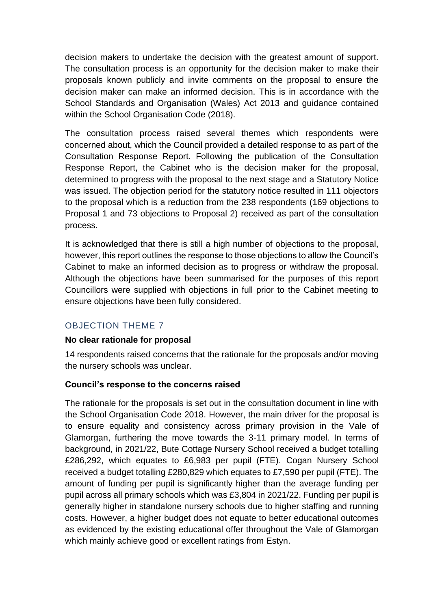decision makers to undertake the decision with the greatest amount of support. The consultation process is an opportunity for the decision maker to make their proposals known publicly and invite comments on the proposal to ensure the decision maker can make an informed decision. This is in accordance with the School Standards and Organisation (Wales) Act 2013 and guidance contained within the School Organisation Code (2018).

The consultation process raised several themes which respondents were concerned about, which the Council provided a detailed response to as part of the Consultation Response Report. Following the publication of the Consultation Response Report, the Cabinet who is the decision maker for the proposal, determined to progress with the proposal to the next stage and a Statutory Notice was issued. The objection period for the statutory notice resulted in 111 objectors to the proposal which is a reduction from the 238 respondents (169 objections to Proposal 1 and 73 objections to Proposal 2) received as part of the consultation process.

It is acknowledged that there is still a high number of objections to the proposal, however, this report outlines the response to those objections to allow the Council's Cabinet to make an informed decision as to progress or withdraw the proposal. Although the objections have been summarised for the purposes of this report Councillors were supplied with objections in full prior to the Cabinet meeting to ensure objections have been fully considered.

#### <span id="page-15-0"></span>OBJECTION THEME 7

#### **No clear rationale for proposal**

14 respondents raised concerns that the rationale for the proposals and/or moving the nursery schools was unclear.

#### **Council's response to the concerns raised**

The rationale for the proposals is set out in the consultation document in line with the School Organisation Code 2018. However, the main driver for the proposal is to ensure equality and consistency across primary provision in the Vale of Glamorgan, furthering the move towards the 3-11 primary model. In terms of background, in 2021/22, Bute Cottage Nursery School received a budget totalling £286,292, which equates to £6,983 per pupil (FTE). Cogan Nursery School received a budget totalling £280,829 which equates to £7,590 per pupil (FTE). The amount of funding per pupil is significantly higher than the average funding per pupil across all primary schools which was £3,804 in 2021/22. Funding per pupil is generally higher in standalone nursery schools due to higher staffing and running costs. However, a higher budget does not equate to better educational outcomes as evidenced by the existing educational offer throughout the Vale of Glamorgan which mainly achieve good or excellent ratings from Estyn.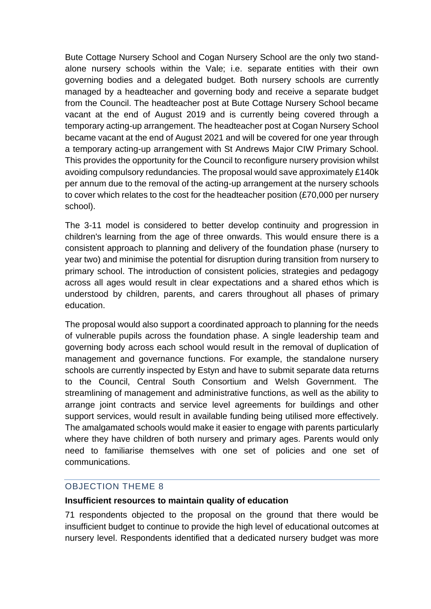Bute Cottage Nursery School and Cogan Nursery School are the only two standalone nursery schools within the Vale; i.e. separate entities with their own governing bodies and a delegated budget. Both nursery schools are currently managed by a headteacher and governing body and receive a separate budget from the Council. The headteacher post at Bute Cottage Nursery School became vacant at the end of August 2019 and is currently being covered through a temporary acting-up arrangement. The headteacher post at Cogan Nursery School became vacant at the end of August 2021 and will be covered for one year through a temporary acting-up arrangement with St Andrews Major CIW Primary School. This provides the opportunity for the Council to reconfigure nursery provision whilst avoiding compulsory redundancies. The proposal would save approximately £140k per annum due to the removal of the acting-up arrangement at the nursery schools to cover which relates to the cost for the headteacher position (£70,000 per nursery school).

The 3-11 model is considered to better develop continuity and progression in children's learning from the age of three onwards. This would ensure there is a consistent approach to planning and delivery of the foundation phase (nursery to year two) and minimise the potential for disruption during transition from nursery to primary school. The introduction of consistent policies, strategies and pedagogy across all ages would result in clear expectations and a shared ethos which is understood by children, parents, and carers throughout all phases of primary education.

The proposal would also support a coordinated approach to planning for the needs of vulnerable pupils across the foundation phase. A single leadership team and governing body across each school would result in the removal of duplication of management and governance functions. For example, the standalone nursery schools are currently inspected by Estyn and have to submit separate data returns to the Council, Central South Consortium and Welsh Government. The streamlining of management and administrative functions, as well as the ability to arrange joint contracts and service level agreements for buildings and other support services, would result in available funding being utilised more effectively. The amalgamated schools would make it easier to engage with parents particularly where they have children of both nursery and primary ages. Parents would only need to familiarise themselves with one set of policies and one set of communications.

#### <span id="page-16-0"></span>OBJECTION THEME 8

#### **Insufficient resources to maintain quality of education**

71 respondents objected to the proposal on the ground that there would be insufficient budget to continue to provide the high level of educational outcomes at nursery level. Respondents identified that a dedicated nursery budget was more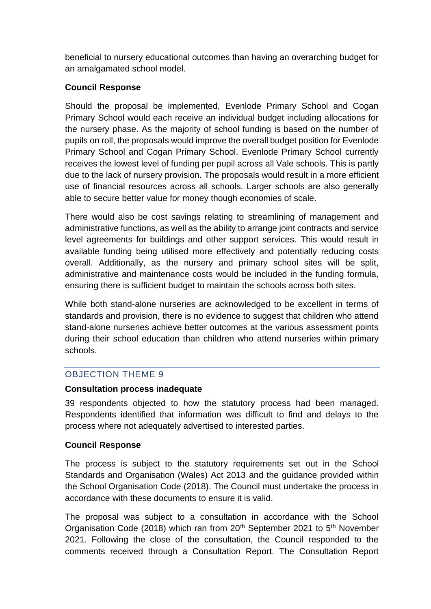beneficial to nursery educational outcomes than having an overarching budget for an amalgamated school model.

#### **Council Response**

Should the proposal be implemented, Evenlode Primary School and Cogan Primary School would each receive an individual budget including allocations for the nursery phase. As the majority of school funding is based on the number of pupils on roll, the proposals would improve the overall budget position for Evenlode Primary School and Cogan Primary School. Evenlode Primary School currently receives the lowest level of funding per pupil across all Vale schools. This is partly due to the lack of nursery provision. The proposals would result in a more efficient use of financial resources across all schools. Larger schools are also generally able to secure better value for money though economies of scale.

There would also be cost savings relating to streamlining of management and administrative functions, as well as the ability to arrange joint contracts and service level agreements for buildings and other support services. This would result in available funding being utilised more effectively and potentially reducing costs overall. Additionally, as the nursery and primary school sites will be split, administrative and maintenance costs would be included in the funding formula, ensuring there is sufficient budget to maintain the schools across both sites.

While both stand-alone nurseries are acknowledged to be excellent in terms of standards and provision, there is no evidence to suggest that children who attend stand-alone nurseries achieve better outcomes at the various assessment points during their school education than children who attend nurseries within primary schools.

# <span id="page-17-0"></span>OBJECTION THEME 9

#### **Consultation process inadequate**

39 respondents objected to how the statutory process had been managed. Respondents identified that information was difficult to find and delays to the process where not adequately advertised to interested parties.

#### **Council Response**

The process is subject to the statutory requirements set out in the School Standards and Organisation (Wales) Act 2013 and the guidance provided within the School Organisation Code (2018). The Council must undertake the process in accordance with these documents to ensure it is valid.

The proposal was subject to a consultation in accordance with the School Organisation Code (2018) which ran from 20<sup>th</sup> September 2021 to 5<sup>th</sup> November 2021. Following the close of the consultation, the Council responded to the comments received through a Consultation Report. The Consultation Report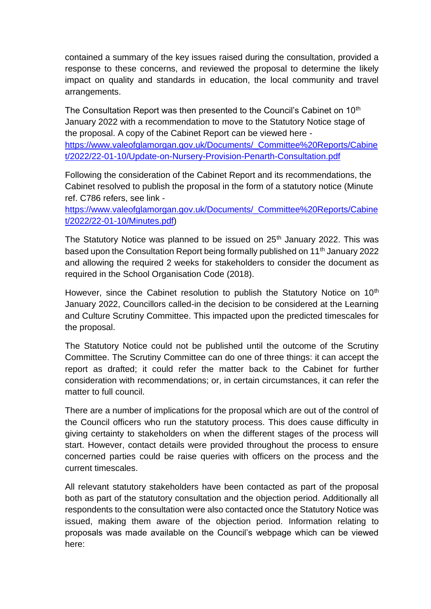contained a summary of the key issues raised during the consultation, provided a response to these concerns, and reviewed the proposal to determine the likely impact on quality and standards in education, the local community and travel arrangements.

The Consultation Report was then presented to the Council's Cabinet on 10<sup>th</sup> January 2022 with a recommendation to move to the Statutory Notice stage of the proposal. A copy of the Cabinet Report can be viewed here [https://www.valeofglamorgan.gov.uk/Documents/\\_Committee%20Reports/Cabine](https://www.valeofglamorgan.gov.uk/Documents/_Committee%20Reports/Cabinet/2022/22-01-10/Update-on-Nursery-Provision-Penarth-Consultation.pdf) [t/2022/22-01-10/Update-on-Nursery-Provision-Penarth-Consultation.pdf](https://www.valeofglamorgan.gov.uk/Documents/_Committee%20Reports/Cabinet/2022/22-01-10/Update-on-Nursery-Provision-Penarth-Consultation.pdf)

Following the consideration of the Cabinet Report and its recommendations, the Cabinet resolved to publish the proposal in the form of a statutory notice (Minute ref. C786 refers, see link -

[https://www.valeofglamorgan.gov.uk/Documents/\\_Committee%20Reports/Cabine](https://www.valeofglamorgan.gov.uk/Documents/_Committee%20Reports/Cabinet/2022/22-01-10/Minutes.pdf) [t/2022/22-01-10/Minutes.pdf\)](https://www.valeofglamorgan.gov.uk/Documents/_Committee%20Reports/Cabinet/2022/22-01-10/Minutes.pdf)

The Statutory Notice was planned to be issued on  $25<sup>th</sup>$  January 2022. This was based upon the Consultation Report being formally published on 11<sup>th</sup> January 2022 and allowing the required 2 weeks for stakeholders to consider the document as required in the School Organisation Code (2018).

However, since the Cabinet resolution to publish the Statutory Notice on 10<sup>th</sup> January 2022, Councillors called-in the decision to be considered at the Learning and Culture Scrutiny Committee. This impacted upon the predicted timescales for the proposal.

The Statutory Notice could not be published until the outcome of the Scrutiny Committee. The Scrutiny Committee can do one of three things: it can accept the report as drafted; it could refer the matter back to the Cabinet for further consideration with recommendations; or, in certain circumstances, it can refer the matter to full council.

There are a number of implications for the proposal which are out of the control of the Council officers who run the statutory process. This does cause difficulty in giving certainty to stakeholders on when the different stages of the process will start. However, contact details were provided throughout the process to ensure concerned parties could be raise queries with officers on the process and the current timescales.

All relevant statutory stakeholders have been contacted as part of the proposal both as part of the statutory consultation and the objection period. Additionally all respondents to the consultation were also contacted once the Statutory Notice was issued, making them aware of the objection period. Information relating to proposals was made available on the Council's webpage which can be viewed here: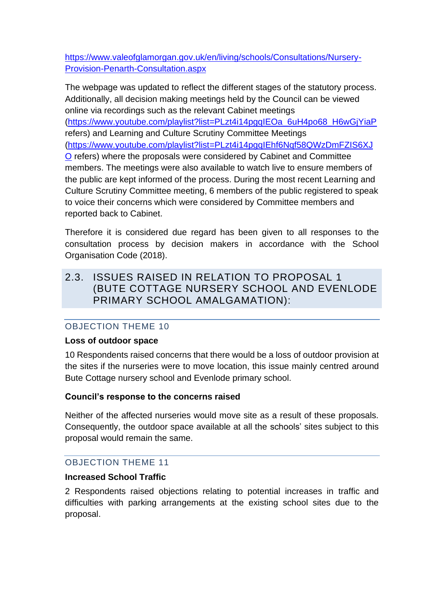[https://www.valeofglamorgan.gov.uk/en/living/schools/Consultations/Nursery-](https://www.valeofglamorgan.gov.uk/en/living/schools/Consultations/Nursery-Provision-Penarth-Consultation.aspx)[Provision-Penarth-Consultation.aspx](https://www.valeofglamorgan.gov.uk/en/living/schools/Consultations/Nursery-Provision-Penarth-Consultation.aspx)

The webpage was updated to reflect the different stages of the statutory process. Additionally, all decision making meetings held by the Council can be viewed online via recordings such as the relevant Cabinet meetings [\(https://www.youtube.com/playlist?list=PLzt4i14pgqIEOa\\_6uH4po68\\_H6wGjYiaP](https://www.youtube.com/playlist?list=PLzt4i14pgqIEOa_6uH4po68_H6wGjYiaP) refers) and Learning and Culture Scrutiny Committee Meetings [\(https://www.youtube.com/playlist?list=PLzt4i14pgqIEhf6Nqf58QWzDmFZIS6XJ](https://www.youtube.com/playlist?list=PLzt4i14pgqIEhf6Nqf58QWzDmFZIS6XJO)

[O](https://www.youtube.com/playlist?list=PLzt4i14pgqIEhf6Nqf58QWzDmFZIS6XJO) refers) where the proposals were considered by Cabinet and Committee members. The meetings were also available to watch live to ensure members of the public are kept informed of the process. During the most recent Learning and Culture Scrutiny Committee meeting, 6 members of the public registered to speak to voice their concerns which were considered by Committee members and reported back to Cabinet.

Therefore it is considered due regard has been given to all responses to the consultation process by decision makers in accordance with the School Organisation Code (2018).

# <span id="page-19-0"></span>2.3. ISSUES RAISED IN RELATION TO PROPOSAL 1 (BUTE COTTAGE NURSERY SCHOOL AND EVENLODE PRIMARY SCHOOL AMALGAMATION):

# <span id="page-19-1"></span>OBJECTION THEME 10

#### **Loss of outdoor space**

10 Respondents raised concerns that there would be a loss of outdoor provision at the sites if the nurseries were to move location, this issue mainly centred around Bute Cottage nursery school and Evenlode primary school.

# **Council's response to the concerns raised**

Neither of the affected nurseries would move site as a result of these proposals. Consequently, the outdoor space available at all the schools' sites subject to this proposal would remain the same.

# <span id="page-19-2"></span>OBJECTION THEME 11

# **Increased School Traffic**

2 Respondents raised objections relating to potential increases in traffic and difficulties with parking arrangements at the existing school sites due to the proposal.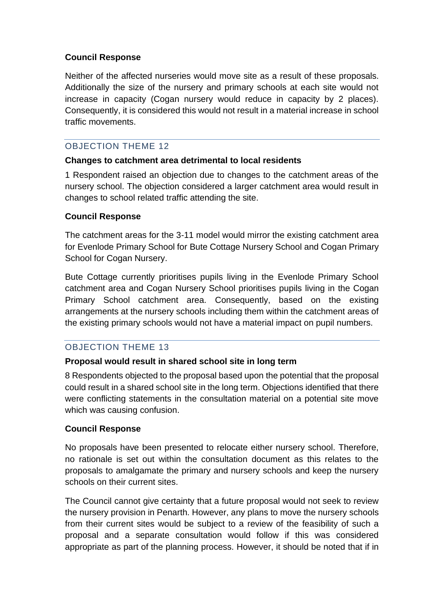#### **Council Response**

Neither of the affected nurseries would move site as a result of these proposals. Additionally the size of the nursery and primary schools at each site would not increase in capacity (Cogan nursery would reduce in capacity by 2 places). Consequently, it is considered this would not result in a material increase in school traffic movements.

#### <span id="page-20-0"></span>OBJECTION THEME 12

#### **Changes to catchment area detrimental to local residents**

1 Respondent raised an objection due to changes to the catchment areas of the nursery school. The objection considered a larger catchment area would result in changes to school related traffic attending the site.

#### **Council Response**

The catchment areas for the 3-11 model would mirror the existing catchment area for Evenlode Primary School for Bute Cottage Nursery School and Cogan Primary School for Cogan Nursery.

Bute Cottage currently prioritises pupils living in the Evenlode Primary School catchment area and Cogan Nursery School prioritises pupils living in the Cogan Primary School catchment area. Consequently, based on the existing arrangements at the nursery schools including them within the catchment areas of the existing primary schools would not have a material impact on pupil numbers.

# <span id="page-20-1"></span>OBJECTION THEME 13

# **Proposal would result in shared school site in long term**

8 Respondents objected to the proposal based upon the potential that the proposal could result in a shared school site in the long term. Objections identified that there were conflicting statements in the consultation material on a potential site move which was causing confusion.

#### **Council Response**

No proposals have been presented to relocate either nursery school. Therefore, no rationale is set out within the consultation document as this relates to the proposals to amalgamate the primary and nursery schools and keep the nursery schools on their current sites.

The Council cannot give certainty that a future proposal would not seek to review the nursery provision in Penarth. However, any plans to move the nursery schools from their current sites would be subject to a review of the feasibility of such a proposal and a separate consultation would follow if this was considered appropriate as part of the planning process. However, it should be noted that if in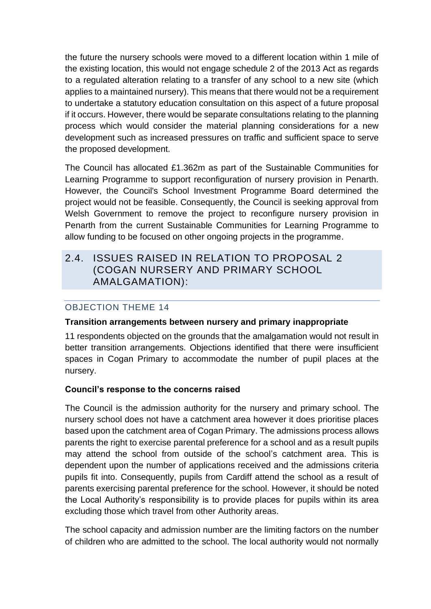the future the nursery schools were moved to a different location within 1 mile of the existing location, this would not engage schedule 2 of the 2013 Act as regards to a regulated alteration relating to a transfer of any school to a new site (which applies to a maintained nursery). This means that there would not be a requirement to undertake a statutory education consultation on this aspect of a future proposal if it occurs. However, there would be separate consultations relating to the planning process which would consider the material planning considerations for a new development such as increased pressures on traffic and sufficient space to serve the proposed development.

The Council has allocated £1.362m as part of the Sustainable Communities for Learning Programme to support reconfiguration of nursery provision in Penarth. However, the Council's School Investment Programme Board determined the project would not be feasible. Consequently, the Council is seeking approval from Welsh Government to remove the project to reconfigure nursery provision in Penarth from the current Sustainable Communities for Learning Programme to allow funding to be focused on other ongoing projects in the programme.

# <span id="page-21-0"></span>2.4. ISSUES RAISED IN RELATION TO PROPOSAL 2 (COGAN NURSERY AND PRIMARY SCHOOL AMALGAMATION):

# <span id="page-21-1"></span>OBJECTION THEME 14

#### **Transition arrangements between nursery and primary inappropriate**

11 respondents objected on the grounds that the amalgamation would not result in better transition arrangements. Objections identified that there were insufficient spaces in Cogan Primary to accommodate the number of pupil places at the nursery.

#### **Council's response to the concerns raised**

The Council is the admission authority for the nursery and primary school. The nursery school does not have a catchment area however it does prioritise places based upon the catchment area of Cogan Primary. The admissions process allows parents the right to exercise parental preference for a school and as a result pupils may attend the school from outside of the school's catchment area. This is dependent upon the number of applications received and the admissions criteria pupils fit into. Consequently, pupils from Cardiff attend the school as a result of parents exercising parental preference for the school. However, it should be noted the Local Authority's responsibility is to provide places for pupils within its area excluding those which travel from other Authority areas.

The school capacity and admission number are the limiting factors on the number of children who are admitted to the school. The local authority would not normally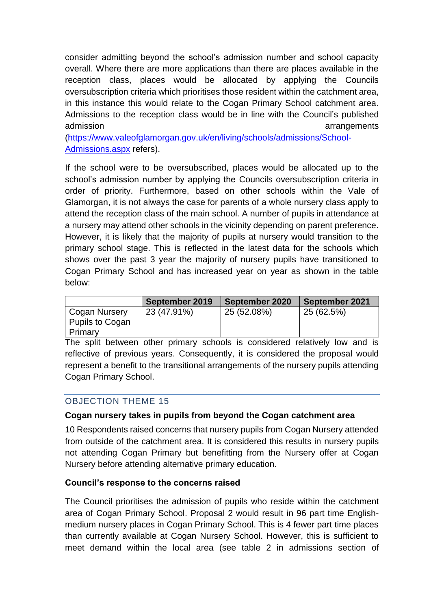consider admitting beyond the school's admission number and school capacity overall. Where there are more applications than there are places available in the reception class, places would be allocated by applying the Councils oversubscription criteria which prioritises those resident within the catchment area, in this instance this would relate to the Cogan Primary School catchment area. Admissions to the reception class would be in line with the Council's published admission arrangements

[\(https://www.valeofglamorgan.gov.uk/en/living/schools/admissions/School-](https://www.valeofglamorgan.gov.uk/en/living/schools/admissions/School-Admissions.aspx)[Admissions.aspx](https://www.valeofglamorgan.gov.uk/en/living/schools/admissions/School-Admissions.aspx) refers).

If the school were to be oversubscribed, places would be allocated up to the school's admission number by applying the Councils oversubscription criteria in order of priority. Furthermore, based on other schools within the Vale of Glamorgan, it is not always the case for parents of a whole nursery class apply to attend the reception class of the main school. A number of pupils in attendance at a nursery may attend other schools in the vicinity depending on parent preference. However, it is likely that the majority of pupils at nursery would transition to the primary school stage. This is reflected in the latest data for the schools which shows over the past 3 year the majority of nursery pupils have transitioned to Cogan Primary School and has increased year on year as shown in the table below:

|                 | September 2019 | September 2020 | September 2021 |
|-----------------|----------------|----------------|----------------|
| Cogan Nursery   | 23 (47.91%)    | 25 (52.08%)    | 25 (62.5%)     |
| Pupils to Cogan |                |                |                |
| Primary         |                |                |                |

The split between other primary schools is considered relatively low and is reflective of previous years. Consequently, it is considered the proposal would represent a benefit to the transitional arrangements of the nursery pupils attending Cogan Primary School.

# <span id="page-22-0"></span>OBJECTION THEME 15

#### **Cogan nursery takes in pupils from beyond the Cogan catchment area**

10 Respondents raised concerns that nursery pupils from Cogan Nursery attended from outside of the catchment area. It is considered this results in nursery pupils not attending Cogan Primary but benefitting from the Nursery offer at Cogan Nursery before attending alternative primary education.

#### **Council's response to the concerns raised**

The Council prioritises the admission of pupils who reside within the catchment area of Cogan Primary School. Proposal 2 would result in 96 part time Englishmedium nursery places in Cogan Primary School. This is 4 fewer part time places than currently available at Cogan Nursery School. However, this is sufficient to meet demand within the local area (see table 2 in admissions section of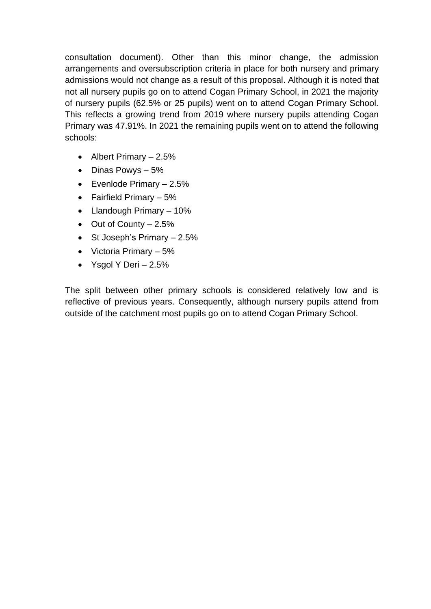consultation document). Other than this minor change, the admission arrangements and oversubscription criteria in place for both nursery and primary admissions would not change as a result of this proposal. Although it is noted that not all nursery pupils go on to attend Cogan Primary School, in 2021 the majority of nursery pupils (62.5% or 25 pupils) went on to attend Cogan Primary School. This reflects a growing trend from 2019 where nursery pupils attending Cogan Primary was 47.91%. In 2021 the remaining pupils went on to attend the following schools:

- Albert Primary  $-2.5%$
- Dinas Powys 5%
- Evenlode Primary  $-2.5%$
- Fairfield Primary 5%
- Llandough Primary 10%
- Out of County 2.5%
- St Joseph's Primary 2.5%
- Victoria Primary  $-5\%$
- Ysgol Y Deri  $-2.5%$

The split between other primary schools is considered relatively low and is reflective of previous years. Consequently, although nursery pupils attend from outside of the catchment most pupils go on to attend Cogan Primary School.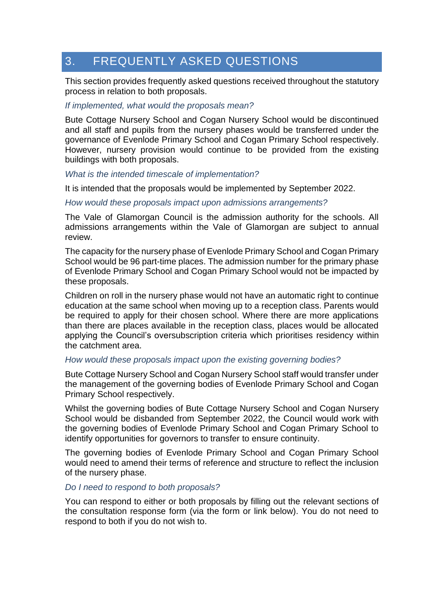# <span id="page-24-0"></span>3. FREQUENTLY ASKED QUESTIONS

This section provides frequently asked questions received throughout the statutory process in relation to both proposals.

#### *If implemented, what would the proposals mean?*

Bute Cottage Nursery School and Cogan Nursery School would be discontinued and all staff and pupils from the nursery phases would be transferred under the governance of Evenlode Primary School and Cogan Primary School respectively. However, nursery provision would continue to be provided from the existing buildings with both proposals.

#### *What is the intended timescale of implementation?*

It is intended that the proposals would be implemented by September 2022.

#### *How would these proposals impact upon admissions arrangements?*

The Vale of Glamorgan Council is the admission authority for the schools. All admissions arrangements within the Vale of Glamorgan are subject to annual review.

The capacity for the nursery phase of Evenlode Primary School and Cogan Primary School would be 96 part-time places. The admission number for the primary phase of Evenlode Primary School and Cogan Primary School would not be impacted by these proposals.

Children on roll in the nursery phase would not have an automatic right to continue education at the same school when moving up to a reception class. Parents would be required to apply for their chosen school. Where there are more applications than there are places available in the reception class, places would be allocated applying the Council's oversubscription criteria which prioritises residency within the catchment area.

#### *How would these proposals impact upon the existing governing bodies?*

Bute Cottage Nursery School and Cogan Nursery School staff would transfer under the management of the governing bodies of Evenlode Primary School and Cogan Primary School respectively.

Whilst the governing bodies of Bute Cottage Nursery School and Cogan Nursery School would be disbanded from September 2022, the Council would work with the governing bodies of Evenlode Primary School and Cogan Primary School to identify opportunities for governors to transfer to ensure continuity.

The governing bodies of Evenlode Primary School and Cogan Primary School would need to amend their terms of reference and structure to reflect the inclusion of the nursery phase.

#### *Do I need to respond to both proposals?*

You can respond to either or both proposals by filling out the relevant sections of the consultation response form (via the form or link below). You do not need to respond to both if you do not wish to.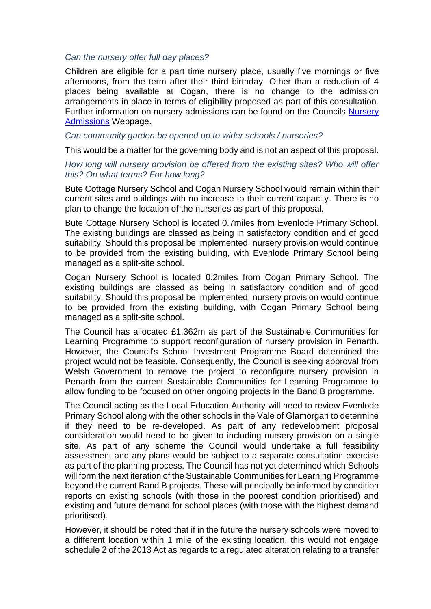#### *Can the nursery offer full day places?*

Children are eligible for a part time nursery place, usually five mornings or five afternoons, from the term after their third birthday. Other than a reduction of 4 places being available at Cogan, there is no change to the admission arrangements in place in terms of eligibility proposed as part of this consultation. Further information on nursery admissions can be found on the Councils [Nursery](https://www.valeofglamorgan.gov.uk/en/living/schools/admissions/Nursery-Admissions.aspx)  [Admissions](https://www.valeofglamorgan.gov.uk/en/living/schools/admissions/Nursery-Admissions.aspx) Webpage.

*Can community garden be opened up to wider schools / nurseries?*

This would be a matter for the governing body and is not an aspect of this proposal.

#### *How long will nursery provision be offered from the existing sites? Who will offer this? On what terms? For how long?*

Bute Cottage Nursery School and Cogan Nursery School would remain within their current sites and buildings with no increase to their current capacity. There is no plan to change the location of the nurseries as part of this proposal.

Bute Cottage Nursery School is located 0.7miles from Evenlode Primary School. The existing buildings are classed as being in satisfactory condition and of good suitability. Should this proposal be implemented, nursery provision would continue to be provided from the existing building, with Evenlode Primary School being managed as a split-site school.

Cogan Nursery School is located 0.2miles from Cogan Primary School. The existing buildings are classed as being in satisfactory condition and of good suitability. Should this proposal be implemented, nursery provision would continue to be provided from the existing building, with Cogan Primary School being managed as a split-site school.

The Council has allocated £1.362m as part of the Sustainable Communities for Learning Programme to support reconfiguration of nursery provision in Penarth. However, the Council's School Investment Programme Board determined the project would not be feasible. Consequently, the Council is seeking approval from Welsh Government to remove the project to reconfigure nursery provision in Penarth from the current Sustainable Communities for Learning Programme to allow funding to be focused on other ongoing projects in the Band B programme.

The Council acting as the Local Education Authority will need to review Evenlode Primary School along with the other schools in the Vale of Glamorgan to determine if they need to be re-developed. As part of any redevelopment proposal consideration would need to be given to including nursery provision on a single site. As part of any scheme the Council would undertake a full feasibility assessment and any plans would be subject to a separate consultation exercise as part of the planning process. The Council has not yet determined which Schools will form the next iteration of the Sustainable Communities for Learning Programme beyond the current Band B projects. These will principally be informed by condition reports on existing schools (with those in the poorest condition prioritised) and existing and future demand for school places (with those with the highest demand prioritised).

However, it should be noted that if in the future the nursery schools were moved to a different location within 1 mile of the existing location, this would not engage schedule 2 of the 2013 Act as regards to a regulated alteration relating to a transfer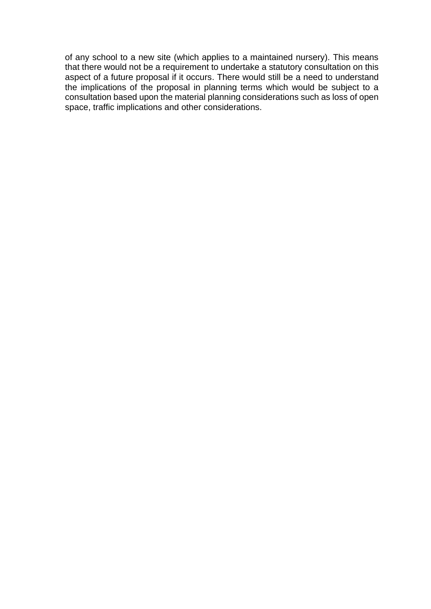of any school to a new site (which applies to a maintained nursery). This means that there would not be a requirement to undertake a statutory consultation on this aspect of a future proposal if it occurs. There would still be a need to understand the implications of the proposal in planning terms which would be subject to a consultation based upon the material planning considerations such as loss of open space, traffic implications and other considerations.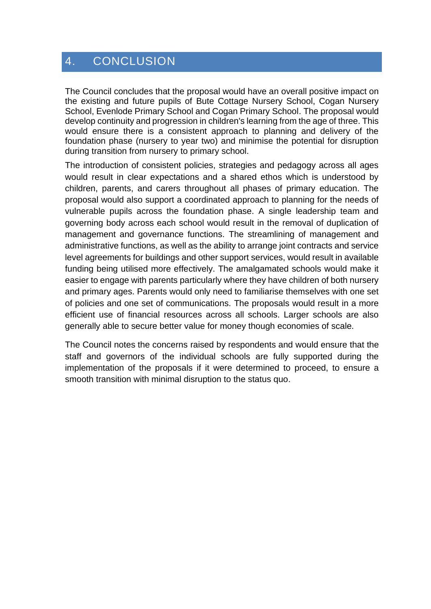# <span id="page-27-0"></span>4. CONCLUSION

The Council concludes that the proposal would have an overall positive impact on the existing and future pupils of Bute Cottage Nursery School, Cogan Nursery School, Evenlode Primary School and Cogan Primary School. The proposal would develop continuity and progression in children's learning from the age of three. This would ensure there is a consistent approach to planning and delivery of the foundation phase (nursery to year two) and minimise the potential for disruption during transition from nursery to primary school.

The introduction of consistent policies, strategies and pedagogy across all ages would result in clear expectations and a shared ethos which is understood by children, parents, and carers throughout all phases of primary education. The proposal would also support a coordinated approach to planning for the needs of vulnerable pupils across the foundation phase. A single leadership team and governing body across each school would result in the removal of duplication of management and governance functions. The streamlining of management and administrative functions, as well as the ability to arrange joint contracts and service level agreements for buildings and other support services, would result in available funding being utilised more effectively. The amalgamated schools would make it easier to engage with parents particularly where they have children of both nursery and primary ages. Parents would only need to familiarise themselves with one set of policies and one set of communications. The proposals would result in a more efficient use of financial resources across all schools. Larger schools are also generally able to secure better value for money though economies of scale.

The Council notes the concerns raised by respondents and would ensure that the staff and governors of the individual schools are fully supported during the implementation of the proposals if it were determined to proceed, to ensure a smooth transition with minimal disruption to the status quo.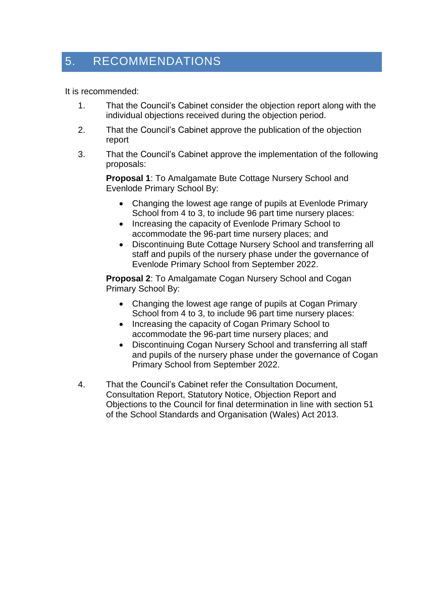# <span id="page-28-0"></span>5. RECOMMENDATIONS

It is recommended:

- 1. That the Council's Cabinet consider the objection report along with the individual objections received during the objection period.
- 2. That the Council's Cabinet approve the publication of the objection report
- 3. That the Council's Cabinet approve the implementation of the following proposals:

**Proposal 1**: To Amalgamate Bute Cottage Nursery School and Evenlode Primary School By:

- Changing the lowest age range of pupils at Evenlode Primary School from 4 to 3, to include 96 part time nursery places:
- Increasing the capacity of Evenlode Primary School to accommodate the 96-part time nursery places; and
- Discontinuing Bute Cottage Nursery School and transferring all staff and pupils of the nursery phase under the governance of Evenlode Primary School from September 2022.

**Proposal 2**: To Amalgamate Cogan Nursery School and Cogan Primary School By:

- Changing the lowest age range of pupils at Cogan Primary School from 4 to 3, to include 96 part time nursery places:
- Increasing the capacity of Cogan Primary School to accommodate the 96-part time nursery places; and
- Discontinuing Cogan Nursery School and transferring all staff and pupils of the nursery phase under the governance of Cogan Primary School from September 2022.
- 4. That the Council's Cabinet refer the Consultation Document, Consultation Report, Statutory Notice, Objection Report and Objections to the Council for final determination in line with section 51 of the School Standards and Organisation (Wales) Act 2013.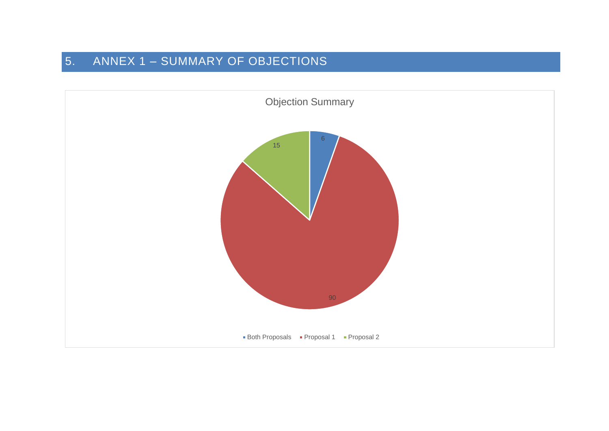# 5. ANNEX 1 – SUMMARY OF OBJECTIONS

<span id="page-29-0"></span>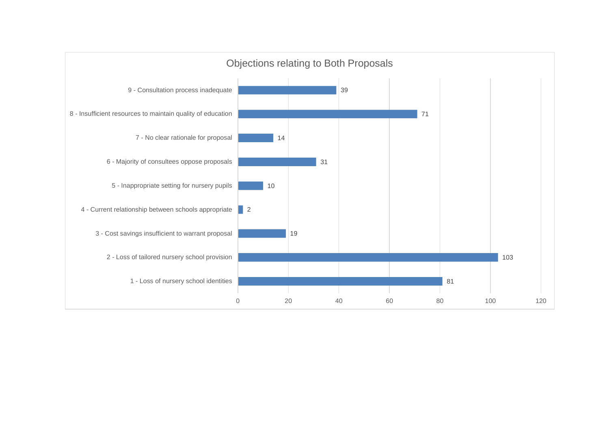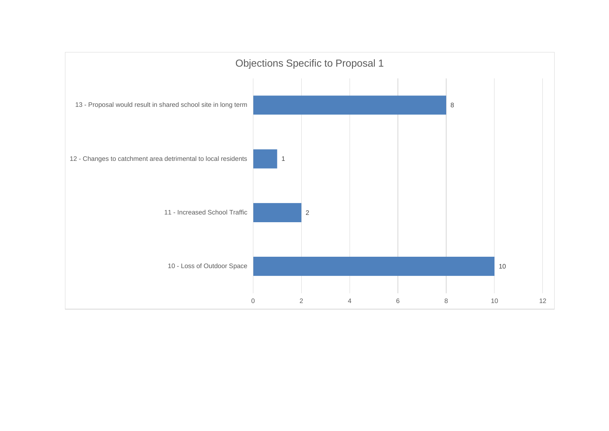